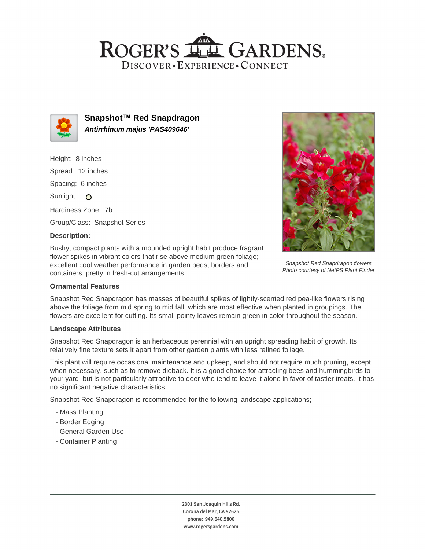## ROGER'S LL GARDENS. DISCOVER · EXPERIENCE · CONNECT



**Snapshot™ Red Snapdragon Antirrhinum majus 'PAS409646'**

Height: 8 inches Spread: 12 inches Spacing: 6 inches Sunlight: O Hardiness Zone: 7b Group/Class: Snapshot Series

#### **Description:**

Bushy, compact plants with a mounded upright habit produce fragrant flower spikes in vibrant colors that rise above medium green foliage; excellent cool weather performance in garden beds, borders and containers; pretty in fresh-cut arrangements



Snapshot Red Snapdragon has masses of beautiful spikes of lightly-scented red pea-like flowers rising above the foliage from mid spring to mid fall, which are most effective when planted in groupings. The flowers are excellent for cutting. Its small pointy leaves remain green in color throughout the season.

#### **Landscape Attributes**

Snapshot Red Snapdragon is an herbaceous perennial with an upright spreading habit of growth. Its relatively fine texture sets it apart from other garden plants with less refined foliage.

This plant will require occasional maintenance and upkeep, and should not require much pruning, except when necessary, such as to remove dieback. It is a good choice for attracting bees and hummingbirds to your yard, but is not particularly attractive to deer who tend to leave it alone in favor of tastier treats. It has no significant negative characteristics.

Snapshot Red Snapdragon is recommended for the following landscape applications;

- Mass Planting
- Border Edging
- General Garden Use
- Container Planting



Snapshot Red Snapdragon flowers Photo courtesy of NetPS Plant Finder

2301 San Joaquin Hills Rd. Corona del Mar, CA 92625 phone: 949.640.5800 www.rogersgardens.com